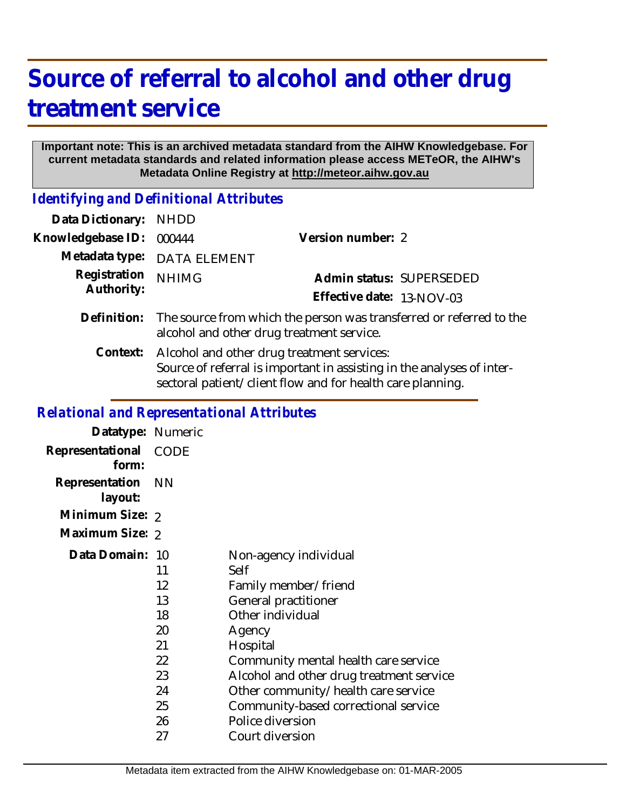## **Source of referral to alcohol and other drug treatment service**

## **Important note: This is an archived metadata standard from the AIHW Knowledgebase. For current metadata standards and related information please access METeOR, the AIHW's Metadata Online Registry at http://meteor.aihw.gov.au**

*Identifying and Definitional Attributes*

| Data Dictionary:           | <b>NHDD</b>                                                                                                                                                                        |                           |
|----------------------------|------------------------------------------------------------------------------------------------------------------------------------------------------------------------------------|---------------------------|
| Knowledgebase ID:          | 000444                                                                                                                                                                             | Version number: 2         |
| Metadata type:             | <b>DATA ELEMENT</b>                                                                                                                                                                |                           |
| Registration<br>Authority: | <b>NHIMG</b>                                                                                                                                                                       | Admin status: SUPERSEDED  |
|                            |                                                                                                                                                                                    | Effective date: 13-NOV-03 |
| Definition:                | The source from which the person was transferred or referred to the<br>alcohol and other drug treatment service.                                                                   |                           |
| Context:                   | Alcohol and other drug treatment services:<br>Source of referral is important in assisting in the analyses of inter-<br>sectoral patient/client flow and for health care planning. |                           |
|                            | <b>Relational and Representational Attributes</b>                                                                                                                                  |                           |

| Datatype: Numeric         |                                                                      |                                                                                                                                                                                                                                                                                                                                   |
|---------------------------|----------------------------------------------------------------------|-----------------------------------------------------------------------------------------------------------------------------------------------------------------------------------------------------------------------------------------------------------------------------------------------------------------------------------|
| Representational<br>form: | <b>CODE</b>                                                          |                                                                                                                                                                                                                                                                                                                                   |
| Representation<br>layout: | - NN                                                                 |                                                                                                                                                                                                                                                                                                                                   |
| Minimum Size: 2           |                                                                      |                                                                                                                                                                                                                                                                                                                                   |
| Maximum Size: 2           |                                                                      |                                                                                                                                                                                                                                                                                                                                   |
| Data Domain: 10           | 11<br>12<br>13<br>18<br>20<br>21<br>22<br>23<br>24<br>25<br>26<br>27 | Non-agency individual<br>Self<br>Family member/friend<br>General practitioner<br>Other individual<br>Agency<br>Hospital<br>Community mental health care service<br>Alcohol and other drug treatment service<br>Other community/health care service<br>Community-based correctional service<br>Police diversion<br>Court diversion |
|                           |                                                                      |                                                                                                                                                                                                                                                                                                                                   |